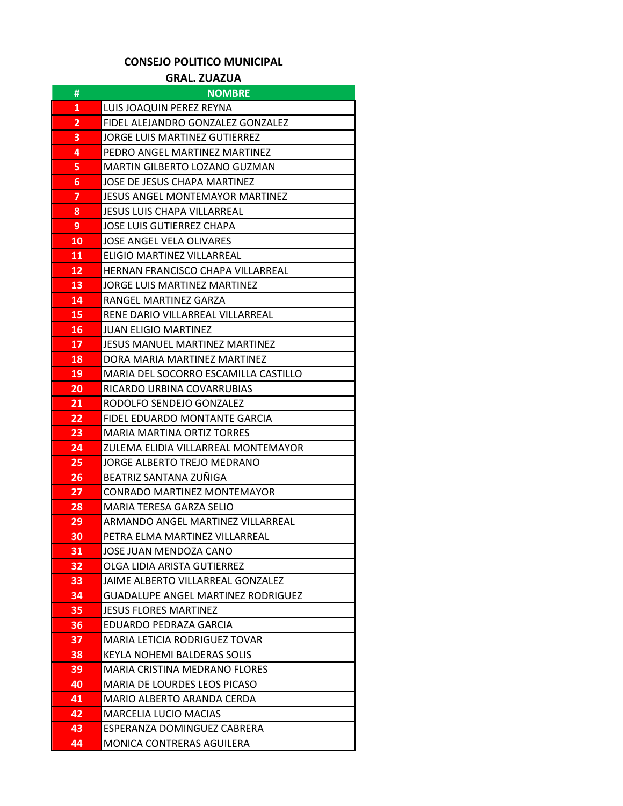## **CONSEJO POLITICO MUNICIPAL**

## **GRAL. ZUAZUA**

| #  | <b>NOMBRE</b>                             |
|----|-------------------------------------------|
| 1  | LUIS JOAQUIN PEREZ REYNA                  |
| 2  | FIDEL ALEJANDRO GONZALEZ GONZALEZ         |
| 3  | JORGE LUIS MARTINEZ GUTIERREZ             |
| 4  | PEDRO ANGEL MARTINEZ MARTINEZ             |
| 5  | MARTIN GILBERTO LOZANO GUZMAN             |
| 6  | JOSE DE JESUS CHAPA MARTINEZ              |
| 7  | JESUS ANGEL MONTEMAYOR MARTINEZ           |
| 8  | <b>JESUS LUIS CHAPA VILLARREAL</b>        |
| 9  | JOSE LUIS GUTIERREZ CHAPA                 |
| 10 | JOSE ANGEL VELA OLIVARES                  |
| 11 | ELIGIO MARTINEZ VILLARREAL                |
| 12 | HERNAN FRANCISCO CHAPA VILLARREAL         |
| 13 | JORGE LUIS MARTINEZ MARTINEZ              |
| 14 | RANGEL MARTINEZ GARZA                     |
| 15 | RENE DARIO VILLARREAL VILLARREAL          |
| 16 | <b>JUAN ELIGIO MARTINEZ</b>               |
| 17 | JESUS MANUEL MARTINEZ MARTINEZ            |
| 18 | DORA MARIA MARTINEZ MARTINEZ              |
| 19 | MARIA DEL SOCORRO ESCAMILLA CASTILLO      |
| 20 | RICARDO URBINA COVARRUBIAS                |
| 21 | RODOLFO SENDEJO GONZALEZ                  |
| 22 | FIDEL EDUARDO MONTANTE GARCIA             |
| 23 | MARIA MARTINA ORTIZ TORRES                |
| 24 | ZULEMA ELIDIA VILLARREAL MONTEMAYOR       |
| 25 | JORGE ALBERTO TREJO MEDRANO               |
| 26 | BEATRIZ SANTANA ZUÑIGA                    |
| 27 | CONRADO MARTINEZ MONTEMAYOR               |
| 28 | MARIA TERESA GARZA SELIO                  |
| 29 | ARMANDO ANGEL MARTINEZ VILLARREAL         |
| 30 | PETRA ELMA MARTINEZ VILLARREAL            |
| 31 | JOSE JUAN MENDOZA CANO                    |
| 32 | OLGA LIDIA ARISTA GUTIERREZ               |
| 33 | JAIME ALBERTO VILLARREAL GONZALEZ         |
| 34 | <b>GUADALUPE ANGEL MARTINEZ RODRIGUEZ</b> |
| 35 | <b>JESUS FLORES MARTINEZ</b>              |
| 36 | EDUARDO PEDRAZA GARCIA                    |
| 37 | MARIA LETICIA RODRIGUEZ TOVAR             |
| 38 | KEYLA NOHEMI BALDERAS SOLIS               |
| 39 | <b>MARIA CRISTINA MEDRANO FLORES</b>      |
| 40 | MARIA DE LOURDES LEOS PICASO              |
| 41 | MARIO ALBERTO ARANDA CERDA                |
| 42 | <b>MARCELIA LUCIO MACIAS</b>              |
| 43 | ESPERANZA DOMINGUEZ CABRERA               |
| 44 | MONICA CONTRERAS AGUILERA                 |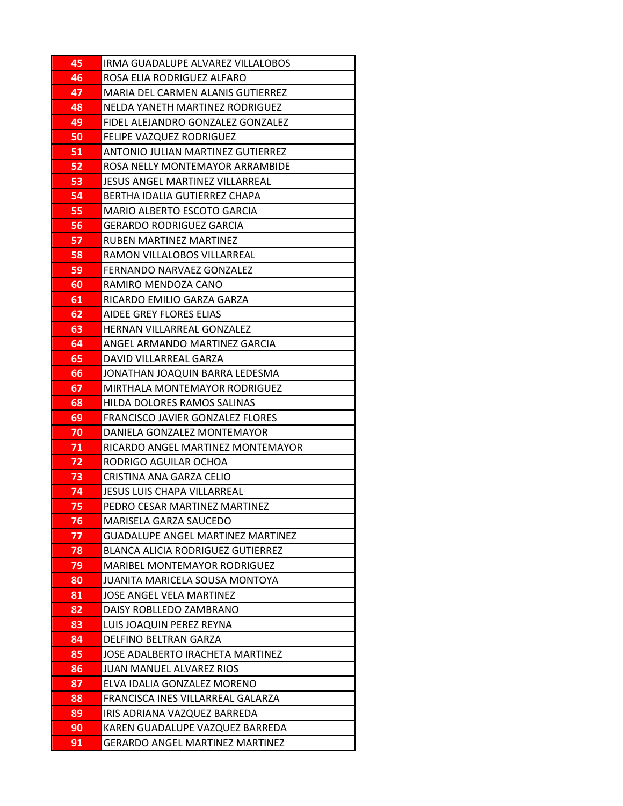| 45       | IRMA GUADALUPE ALVAREZ VILLALOBOS                 |
|----------|---------------------------------------------------|
| 46       | ROSA ELIA RODRIGUEZ ALFARO                        |
| 47       | MARIA DEL CARMEN ALANIS GUTIERREZ                 |
| 48       | NELDA YANETH MARTINEZ RODRIGUEZ                   |
| 49       | FIDEL ALEJANDRO GONZALEZ GONZALEZ                 |
| 50       | FELIPE VAZQUEZ RODRIGUEZ                          |
| 51       | ANTONIO JULIAN MARTINEZ GUTIERREZ                 |
| 52       | ROSA NELLY MONTEMAYOR ARRAMBIDE                   |
| 53       | JESUS ANGEL MARTINEZ VILLARREAL                   |
| 54       | BERTHA IDALIA GUTIERREZ CHAPA                     |
| 55       | MARIO ALBERTO ESCOTO GARCIA                       |
| 56       | <b>GERARDO RODRIGUEZ GARCIA</b>                   |
| 57       | RUBEN MARTINEZ MARTINEZ                           |
| 58       | RAMON VILLALOBOS VILLARREAL                       |
| 59       | FERNANDO NARVAEZ GONZALEZ                         |
| 60       | RAMIRO MENDOZA CANO                               |
| 61       | RICARDO EMILIO GARZA GARZA                        |
| 62       | AIDEE GREY FLORES ELIAS                           |
| 63       | <b>HERNAN VILLARREAL GONZALEZ</b>                 |
| 64       | ANGEL ARMANDO MARTINEZ GARCIA                     |
| 65       | DAVID VILLARREAL GARZA                            |
| 66       | JONATHAN JOAQUIN BARRA LEDESMA                    |
| 67       | MIRTHALA MONTEMAYOR RODRIGUEZ                     |
| 68       | HILDA DOLORES RAMOS SALINAS                       |
| 69       | FRANCISCO JAVIER GONZALEZ FLORES                  |
| 70       | DANIELA GONZALEZ MONTEMAYOR                       |
| 71       | RICARDO ANGEL MARTINEZ MONTEMAYOR                 |
| 72       | RODRIGO AGUILAR OCHOA                             |
| 73       | CRISTINA ANA GARZA CELIO                          |
| 74       | JESUS LUIS CHAPA VILLARREAL                       |
| 75       | PEDRO CESAR MARTINEZ MARTINEZ                     |
| 76       | <b>MARISELA GARZA SAUCEDO</b>                     |
| 77       | <b>GUADALUPE ANGEL MARTINEZ MARTINEZ</b>          |
| 78       | <b>BLANCA ALICIA RODRIGUEZ GUTIERREZ</b>          |
| 79       | <b>MARIBEL MONTEMAYOR RODRIGUEZ</b>               |
| 80       | JUANITA MARICELA SOUSA MONTOYA                    |
| 81       | JOSE ANGEL VELA MARTINEZ                          |
| 82<br>83 | DAISY ROBLLEDO ZAMBRANO                           |
| 84       | LUIS JOAQUIN PEREZ REYNA<br>DELFINO BELTRAN GARZA |
| 85       | JOSE ADALBERTO IRACHETA MARTINEZ                  |
| 86       | <b>JUAN MANUEL ALVAREZ RIOS</b>                   |
| 87       | ELVA IDALIA GONZALEZ MORENO                       |
| 88       | FRANCISCA INES VILLARREAL GALARZA                 |
| 89       | IRIS ADRIANA VAZQUEZ BARREDA                      |
| 90       | KAREN GUADALUPE VAZQUEZ BARREDA                   |
| 91       | <b>GERARDO ANGEL MARTINEZ MARTINEZ</b>            |
|          |                                                   |